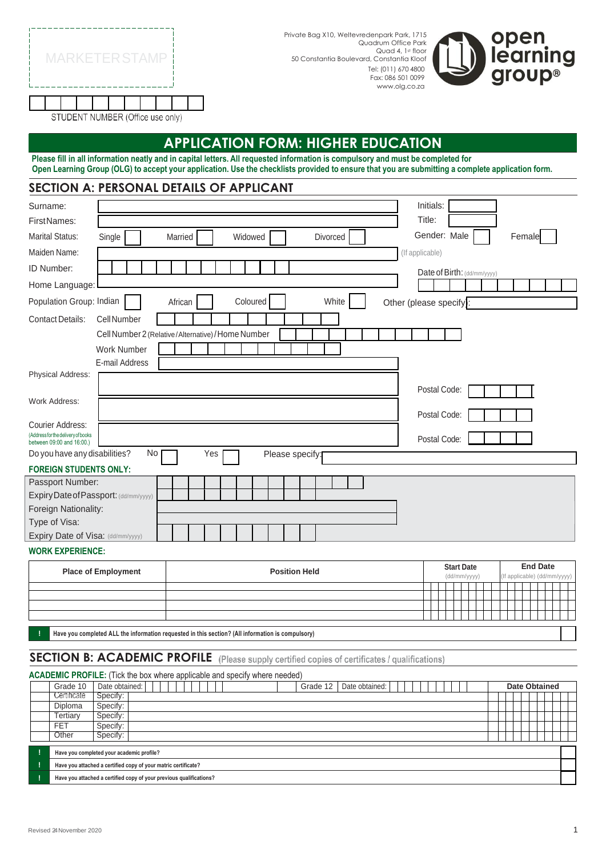|  |  | <b>MARKETER STAMP</b>             |  |  |  |
|--|--|-----------------------------------|--|--|--|
|  |  |                                   |  |  |  |
|  |  | STHIDENT NHMRER (Office use only) |  |  |  |

Private Bag X10, Weltevredenpark Park, 1715 Quadrum Office Park Quad 4, 1st floor 50 Constantia Boulevard, Constantia Kloof Tel: (011) 670 4800 Fax: 086 501 0099 [www.olg.co.za](http://www.olg.co.za/)



STUDENT NUMBER (Office use only)

# **APPLICATION FORM: HIGHER EDUCATION**

Please fill in all information neatly and in capital letters. All requested information is compulsory and must be completed for Open Learning Group (OLG) to accept your application. Use the checklists provided to ensure that you are submitting a complete application form.

### **SECTION A: PERSONAL DETAILS OF APPLICANT**

| Surname:                                                     |                                                    | Initials:                   |
|--------------------------------------------------------------|----------------------------------------------------|-----------------------------|
| First Names:                                                 |                                                    | Title:                      |
| <b>Marital Status:</b>                                       | Single<br>Widowed<br>Married<br>Divorced           | Gender: Male<br>Female      |
| Maiden Name:                                                 |                                                    | (If applicable)             |
| <b>ID Number:</b>                                            |                                                    | Date of Birth: (dd/mm/yyyy) |
| Home Language:                                               |                                                    |                             |
| Population Group: Indian                                     | Coloured<br>White<br>African                       | Other (please specify):     |
| <b>Contact Details:</b>                                      | <b>Cell Number</b>                                 |                             |
|                                                              | Cell Number 2 (Relative/Alternative) / Home Number |                             |
|                                                              | <b>Work Number</b>                                 |                             |
|                                                              | E-mail Address                                     |                             |
| Physical Address:                                            |                                                    |                             |
|                                                              |                                                    | Postal Code:                |
| Work Address:                                                |                                                    | Postal Code:                |
| Courier Address:                                             |                                                    |                             |
| (Addressforthedelivery of books<br>between 09:00 and 16:00.) |                                                    | Postal Code:                |
| Do you have any disabilities?                                | No<br>Yes<br>Please specify:                       |                             |
| <b>FOREIGN STUDENTS ONLY:</b>                                |                                                    |                             |
| Passport Number:                                             |                                                    |                             |
| Expiry Date of Passport: (dd/mm/yyyy)                        |                                                    |                             |
| Foreign Nationality:                                         |                                                    |                             |
| Type of Visa:                                                |                                                    |                             |
| Expiry Date of Visa: (dd/mm/yyyy)                            |                                                    |                             |
| <b>WORK EXPERIENCE:</b>                                      |                                                    |                             |
|                                                              |                                                    |                             |

| <b>Place of Employment</b> | <b>Position Held</b> |  | <b>Start Date</b><br>(dd/mm/yyyy) |  |  |  | <b>End Date</b> | (If applicable) (dd/mm/yyyy) |
|----------------------------|----------------------|--|-----------------------------------|--|--|--|-----------------|------------------------------|
|                            |                      |  |                                   |  |  |  |                 |                              |
|                            |                      |  |                                   |  |  |  |                 |                              |
|                            |                      |  |                                   |  |  |  |                 |                              |
|                            |                      |  |                                   |  |  |  |                 |                              |
|                            |                      |  |                                   |  |  |  |                 |                              |

**! Have you completed ALL the information requested in this section? (All information is compulsory)**

# **SECTION B: ACADEMIC PROFILE** (Please supply certified copies of certificates / qualifications)

| ACADEMIC PROFILE: (Tick the box where applicable and specify where needed) |                                                                     |  |  |  |                      |  |  |  |  |  |  |
|----------------------------------------------------------------------------|---------------------------------------------------------------------|--|--|--|----------------------|--|--|--|--|--|--|
| Grade 10                                                                   | Date obtained: I<br>Date obtained:<br>Grade 12                      |  |  |  | <b>Date Obtained</b> |  |  |  |  |  |  |
| Certificate                                                                | Specify:                                                            |  |  |  |                      |  |  |  |  |  |  |
| Diploma                                                                    | Specify:                                                            |  |  |  |                      |  |  |  |  |  |  |
| Tertiary                                                                   | Specify:                                                            |  |  |  |                      |  |  |  |  |  |  |
| <b>FET</b>                                                                 | Specify:                                                            |  |  |  |                      |  |  |  |  |  |  |
| Other                                                                      | Specify:                                                            |  |  |  |                      |  |  |  |  |  |  |
|                                                                            | Have you completed your academic profile?                           |  |  |  |                      |  |  |  |  |  |  |
|                                                                            |                                                                     |  |  |  |                      |  |  |  |  |  |  |
|                                                                            | Have you attached a certified copy of your matric certificate?      |  |  |  |                      |  |  |  |  |  |  |
|                                                                            | Have you attached a certified copy of your previous qualifications? |  |  |  |                      |  |  |  |  |  |  |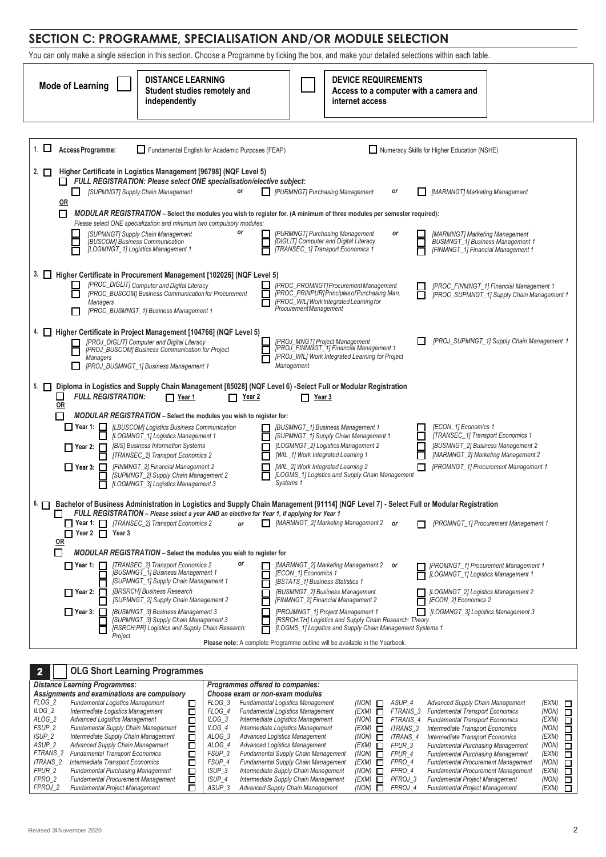# **SECTION C: PROGRAMME, SPECIALISATION AND/OR MODULE SELECTION**

You can only make a single selection in this section. Choose a Programme by ticking the box, and make your detailed selections within each table.

| <b>DISTANCE LEARNING</b><br><b>Mode of Learning</b><br>Student studies remotely and<br>independently                                                                                                                                                                                                                                                                                                                                                                                           | <b>DEVICE REQUIREMENTS</b><br>Access to a computer with a camera and<br>internet access                                                                                                                                                                                                                                                                                                                                                                                                                                  |  |  |  |  |  |  |  |  |  |  |  |
|------------------------------------------------------------------------------------------------------------------------------------------------------------------------------------------------------------------------------------------------------------------------------------------------------------------------------------------------------------------------------------------------------------------------------------------------------------------------------------------------|--------------------------------------------------------------------------------------------------------------------------------------------------------------------------------------------------------------------------------------------------------------------------------------------------------------------------------------------------------------------------------------------------------------------------------------------------------------------------------------------------------------------------|--|--|--|--|--|--|--|--|--|--|--|
|                                                                                                                                                                                                                                                                                                                                                                                                                                                                                                |                                                                                                                                                                                                                                                                                                                                                                                                                                                                                                                          |  |  |  |  |  |  |  |  |  |  |  |
| $1.$ $\Box$<br>Access Programme:<br>Fundamental English for Academic Purposes (FEAP)                                                                                                                                                                                                                                                                                                                                                                                                           | Numeracy Skills for Higher Education (NSHE)                                                                                                                                                                                                                                                                                                                                                                                                                                                                              |  |  |  |  |  |  |  |  |  |  |  |
| 2. LI<br>Higher Certificate in Logistics Management [96798] (NQF Level 5)<br>FULL REGISTRATION: Please select ONE specialisation/elective subject:<br>[SUPMNGT] Supply Chain Management<br>or<br>ப<br>0R<br>□<br>MODULAR REGISTRATION – Select the modules you wish to register for. (A minimum of three modules per semester required):<br>Please select ONE specialization and minimum two compulsory modules:<br>or<br>[SUPMNGT] Supply Chain Management<br>[BUSCOM] Business Communication | <b>FURMNGT</b> Purchasing Management<br>[MARMNGT] Marketing Management<br>or<br>[PURMNGT] Purchasing Management<br>[MARMNGT] Marketing Management<br>or<br>[DIGLIT] Computer and Digital Literacy<br><b>BUSMNGT_1] Business Management 1</b>                                                                                                                                                                                                                                                                             |  |  |  |  |  |  |  |  |  |  |  |
| [LOGMNGT_1] Logistics Management 1<br>Г                                                                                                                                                                                                                                                                                                                                                                                                                                                        | [TRANSEC_1] Transport Economics 1<br>[FINMNGT_1] Financial Management 1                                                                                                                                                                                                                                                                                                                                                                                                                                                  |  |  |  |  |  |  |  |  |  |  |  |
| 3. Higher Certificate in Procurement Management [102026] (NQF Level 5)<br>[PROC_DIGLIT] Computer and Digital Literacy<br>$\mathbf{I}$<br>[PROC BUSCOM] Business Communication for Procurement<br>$\Box$<br>Managers<br>[PROC_BUSMNGT_1] Business Management 1<br>П                                                                                                                                                                                                                             | [PROC_PROMNGT]ProcurementManagement<br>[PROC_FINMNGT_1] Financial Management 1<br>[PROC_PRINPUR] Principles of Purchasing Man.<br><b>[PROC SUPMNGT 1] Supply Chain Management 1</b><br>ΙI<br>[PROC_WIL] Work Integrated Learning for<br>Procurement Management                                                                                                                                                                                                                                                           |  |  |  |  |  |  |  |  |  |  |  |
| 4.<br>Higher Certificate in Project Management [104766] (NQF Level 5)<br>[PROJ_DIGLIT] Computer and Digital Literacy<br>[PROJ_BUSCOM] Business Communication for Project<br>П<br><b>Managers</b><br>Ш<br>[PROJ_BUSMNGT_1] Business Management 1                                                                                                                                                                                                                                                | [PROJ_SUPMNGT_1] Supply Chain Management 1<br>[PROJ_MNGT] Project Management<br>[PROJ_FINMNGT_1] Financial Management 1<br>[PROJ_WIL] Work Integrated Learning for Project<br>Management                                                                                                                                                                                                                                                                                                                                 |  |  |  |  |  |  |  |  |  |  |  |
| Diploma in Logistics and Supply Chain Management [85028] (NQF Level 6) -Select Full or Modular Registration<br>5. $\Box$<br>□<br><b>FULL REGISTRATION:</b><br>□ Year 1<br><u>Year 2</u><br>П<br><u>OR</u>                                                                                                                                                                                                                                                                                      | $\Box$ Year 3                                                                                                                                                                                                                                                                                                                                                                                                                                                                                                            |  |  |  |  |  |  |  |  |  |  |  |
| <b>MODULAR REGISTRATION</b> – Select the modules you wish to register for:<br>[LBUSCOM] Logistics Business Communication<br> _  Year 1:  _ <br>[LOGMNGT_1] Logistics Management 1<br>[BIS] Business Information Systems<br>$\Box$ Year 2: $\Box$<br>[TRANSEC_2] Transport Economics 2<br>[FINMNGT_2] Financial Management 2<br>$\Box$ Year 3: $\Box$<br>[SUPMNGT_2] Supply Chain Management 2<br>[LOGMNGT_3] Logistics Management 3                                                            | [ECON_1] Economics 1<br><b>[BUSMNGT_1] Business Management 1</b><br>[TRANSEC_1] Transport Economics 1<br>[SUPMNGT_1] Supply Chain Management 1<br>[BUSMNGT_2] Business Management 2<br>[LOGMNGT_2] Logistics Management 2<br>[MARMNGT_2] Marketing Management 2<br>[WIL_1] Work Integrated Learning 1<br>П<br>[WIL_2] Work Integrated Learning 2<br>[PROMNGT_1] Procurement Management 1<br>[LOGMS_1] Logistics and Supply Chain Management<br>Systems 1                                                                 |  |  |  |  |  |  |  |  |  |  |  |
| FULL REGISTRATION - Please select a year AND an elective for Year 1, if applying for Year 1<br><b>Year 1:</b> $\Box$ [TRANSEC_2] Transport Economics 2<br>or<br>$\Box$ Year 2 $\Box$<br>Year 3<br>0R                                                                                                                                                                                                                                                                                           | 6. <sup>[16]</sup> Bachelor of Business Administration in Logistics and Supply Chain Management [91114] (NQF Level 7) - Select Full or Modular Registration<br>[MARMNGT_2] Marketing Management 2<br>[PROMNGT_1] Procurement Management 1<br>or                                                                                                                                                                                                                                                                          |  |  |  |  |  |  |  |  |  |  |  |
| $\Box$<br><b>MODULAR REGISTRATION</b> – Select the modules you wish to register for<br>[TRANSEC_2] Transport Economics 2<br>or<br>$\Box$ Year 1: $\Box$<br>[BUSMNGT_1] Business Management 1<br>[SUPMNGT_1] Supply Chain Management 1<br>[BRSRCH] Business Research<br>$\Box$ Year 2: $\Box$<br>[SUPMNGT_2] Supply Chain Management 2<br>[BUSMNGT_3] Business Management 3<br>IIYear 3: Γ<br>[SUPMNGT_3] Supply Chain Management 3<br>[RSRCH:PR] Logistics and Supply Chain Research:          | [MARMNGT_2] Marketing Management 2 or<br>[PROMNGT_1] Procurement Management 1<br>[ECON_1] Economics 1<br>[LOGMNGT_1] Logistics Management 1<br>[BSTATS_1] Business Statistics 1<br>[BUSMNGT_2] Business Management<br>[LOGMNGT_2] Logistics Management 2<br>[FINMNGT_2] Financial Management 2<br>[ECON_2] Economics 2<br>[PROJMNGT_1] Project Management 1<br>[LOGMNGT_3] Logistics Management 3<br>[RSRCH:TH] Logistics and Supply Chain Research: Theory<br>[LOGMS_1] Logistics and Supply Chain Management Systems 1 |  |  |  |  |  |  |  |  |  |  |  |
| Project                                                                                                                                                                                                                                                                                                                                                                                                                                                                                        | <b>Please note:</b> A complete Programme outline will be available in the Yearbook.                                                                                                                                                                                                                                                                                                                                                                                                                                      |  |  |  |  |  |  |  |  |  |  |  |
| <b>OLG Short Learning Programmes</b>                                                                                                                                                                                                                                                                                                                                                                                                                                                           |                                                                                                                                                                                                                                                                                                                                                                                                                                                                                                                          |  |  |  |  |  |  |  |  |  |  |  |

|                   | <b>Distance Learning Programmes:</b>        |                          |                   | Programmes offered to companies:           |                |                   |                                           |                |        |
|-------------------|---------------------------------------------|--------------------------|-------------------|--------------------------------------------|----------------|-------------------|-------------------------------------------|----------------|--------|
|                   | Assignments and examinations are compulsory |                          |                   | Choose exam or non-exam modules            |                |                   |                                           |                |        |
| FLOG <sub>2</sub> | <b>Fundamental Logistics Management</b>     | ⊓                        | FLOG 3            | <b>Fundamental Logistics Management</b>    | $(NON)$ $\Box$ | ASUP 4            | <b>Advanced Supply Chain Management</b>   | $(EXM)$ $\Box$ |        |
| $ILOG_2$          | Intermediate Logistics Management           |                          | FLOG 4            | <b>Fundamental Logistics Management</b>    | $(EXM)$ $\Box$ | FTRANS 3          | <b>Fundamental Transport Economics</b>    | (NON)          | Л      |
| ALOG <sub>2</sub> | <b>Advanced Logistics Management</b>        |                          | ILOG <sub>3</sub> | Intermediate Logistics Management          | $(NON)$ $\Box$ | FTRANS 4          | <b>Fundamental Transport Economics</b>    | (EXM)          | П      |
| FSUP <sub>2</sub> | Fundamental Supply Chain Management         | $\Box$                   | ILOG 4            | Intermediate Logistics Management          | (EXM) Γ        | <b>ITRANS 3</b>   | Intermediate Transport Economics          | (NON)          | П      |
| ISUP 2            | Intermediate Supply Chain Management        | $\Box$                   | ALOG 3            | Advanced Logistics Management              | $(NON)$ $\Box$ | <b>ITRANS 4</b>   | Intermediate Transport Economics          | (EXM)          | Л      |
| ASUP <sub>2</sub> | Advanced Supply Chain Management            | □                        | ALOG 4            | <b>Advanced Logistics Management</b>       | (EXM) □        | FPUR <sub>3</sub> | <b>Fundamental Purchasing Management</b>  | (NON)          | Л      |
| <b>FTRANS 2</b>   | <b>Fundamental Transport Economics</b>      | $\overline{\phantom{a}}$ | FSUP 3            | <b>Fundamental Supply Chain Management</b> | $(NON)$ $\Box$ | FPUR 4            | <b>Fundamental Purchasing Management</b>  | (EXM)          | Đ      |
| <b>ITRANS 2</b>   | Intermediate Transport Economics            |                          | FSUP 4            | Fundamental Supply Chain Management        | $(EXM)$ $\Box$ | FPRO 4            | <b>Fundamental Procurement Management</b> | (NON)          | $\Box$ |
| FPUR 2            | <b>Fundamental Purchasing Management</b>    | 口                        | ISUP <sub>3</sub> | Intermediate Supply Chain Management       | (NON)          | FPRO 4            | <b>Fundamental Procurement Management</b> | (EXM)          | П      |
| FPRO 2            | <b>Fundamental Procurement Management</b>   | 口                        | ISUP 4            | Intermediate Supply Chain Management       | (EXM)          | PFROJ 3           | <b>Fundamental Project Management</b>     | (NON)          | □      |
| FPROJ 2           | <b>Fundamental Project Management</b>       |                          | ASUP <sub>3</sub> | Advanced Supply Chain Management           | $(NON)$ $\Box$ | FPROJ 4           | <b>Fundamental Project Management</b>     | (EXM)          |        |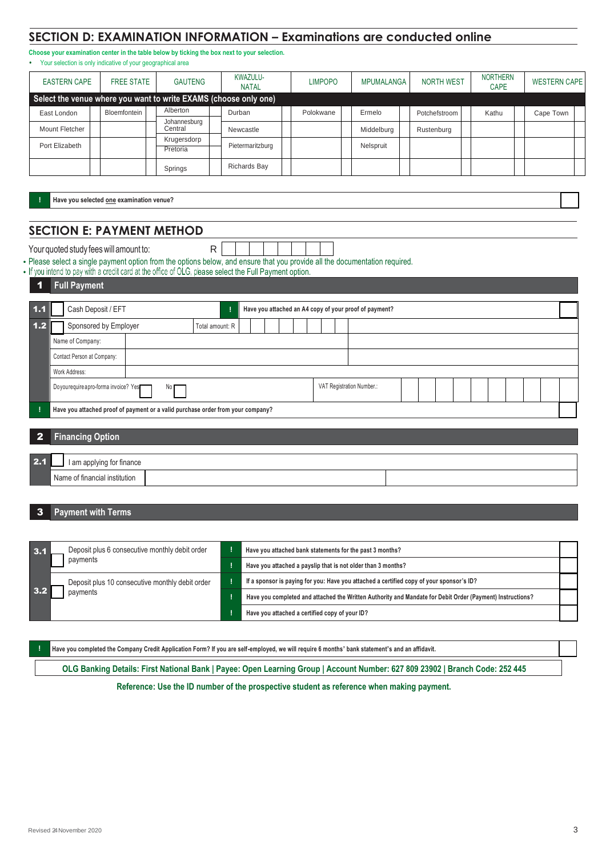### **SECTION D: EXAMINATION INFORMATION – Examinations are conducted online**

**Choose your examination center in the table below by ticking the box next to your selection.** • Your selection is only indicative of your geographical area

| <b>EASTERN CAPE</b> |              | <b>FREE STATE</b><br><b>GAUTENG</b><br><b>NATAL</b><br>Select the venue where you want to write EXAMS (choose only one) |                         | KWAZULU- | <b>LIMPOPO</b>      | MPUMALANGA | <b>NORTH WEST</b> |               | <b>NORTHERN</b><br><b>CAPE</b> |       | <b>WESTERN CAPE</b> |           |  |
|---------------------|--------------|-------------------------------------------------------------------------------------------------------------------------|-------------------------|----------|---------------------|------------|-------------------|---------------|--------------------------------|-------|---------------------|-----------|--|
|                     |              |                                                                                                                         |                         |          |                     |            |                   |               |                                |       |                     |           |  |
| East London         | Bloemfontein |                                                                                                                         | Alberton                |          | Durban              | Polokwane  | Ermelo            | Potchefstroom |                                | Kathu |                     | Cape Town |  |
| Mount Fletcher      |              |                                                                                                                         | Johannesburg<br>Central |          | Newcastle           |            | Middelburg        | Rustenburg    |                                |       |                     |           |  |
| Port Elizabeth      |              |                                                                                                                         | Krugersdorp<br>Pretoria |          | Pietermaritzburg    |            | Nelspruit         |               |                                |       |                     |           |  |
|                     |              |                                                                                                                         | Springs                 |          | <b>Richards Bay</b> |            |                   |               |                                |       |                     |           |  |

**! Have you selected one examination venue?**

# **SECTION E: PAYMENT METHOD**

| Your quoted study fees will amount to:                                                                         |  |  |  |  |  |
|----------------------------------------------------------------------------------------------------------------|--|--|--|--|--|
| Plasse select a single payment option from the options below and ensure that you provide all the documentation |  |  |  |  |  |

Please select a single payment option from the options below, and ensure that you provide all the documentation required.

|  |  |  | If you intend to pay with a credit card at the office of OLG, please select the Full Payment option. |
|--|--|--|------------------------------------------------------------------------------------------------------|
|  |  |  |                                                                                                      |

#### 1 **Full Payment**

| 1.1   |                            | Cash Deposit / EFT                                                              |                 |  |  |  |  |  |  | Have you attached an A4 copy of your proof of payment? |  |  |  |  |  |  |
|-------|----------------------------|---------------------------------------------------------------------------------|-----------------|--|--|--|--|--|--|--------------------------------------------------------|--|--|--|--|--|--|
| $1.2$ | Sponsored by Employer      |                                                                                 | Total amount: R |  |  |  |  |  |  |                                                        |  |  |  |  |  |  |
|       | Name of Company:           |                                                                                 |                 |  |  |  |  |  |  |                                                        |  |  |  |  |  |  |
|       | Contact Person at Company: |                                                                                 |                 |  |  |  |  |  |  |                                                        |  |  |  |  |  |  |
|       | Work Address:              |                                                                                 |                 |  |  |  |  |  |  |                                                        |  |  |  |  |  |  |
|       |                            | Do you require a pro-forma invoice? Yes<br>No F                                 |                 |  |  |  |  |  |  | VAT Registration Number.:                              |  |  |  |  |  |  |
|       |                            | Have you attached proof of payment or a valid purchase order from your company? |                 |  |  |  |  |  |  |                                                        |  |  |  |  |  |  |
|       |                            |                                                                                 |                 |  |  |  |  |  |  |                                                        |  |  |  |  |  |  |

#### 2 **Financing Option**

| 24 | I am applying for finance     |  |
|----|-------------------------------|--|
|    | Name of financial institution |  |

#### 3 **Payment with Terms**

| 3.1        | Deposit plus 6 consecutive monthly debit order  | Have you attached bank statements for the past 3 months?                                                  |  |
|------------|-------------------------------------------------|-----------------------------------------------------------------------------------------------------------|--|
|            | payments                                        | Have you attached a payslip that is not older than 3 months?                                              |  |
|            | Deposit plus 10 consecutive monthly debit order | If a sponsor is paying for you: Have you attached a certified copy of your sponsor's ID?                  |  |
| <b>3.2</b> | payments                                        | Have you completed and attached the Written Authority and Mandate for Debit Order (Payment) Instructions? |  |
|            |                                                 | Have you attached a certified copy of your ID?                                                            |  |

**! Have you completed the Company Credit Application Form? If you are self-employed, we will require 6 months' bank statement's and an affidavit.**

**OLG Banking Details: First National Bank | Payee: Open Learning Group | Account Number: 627 809 23902 | Branch Code: 252 445**

**Reference: Use the ID number of the prospective student as reference when making payment.**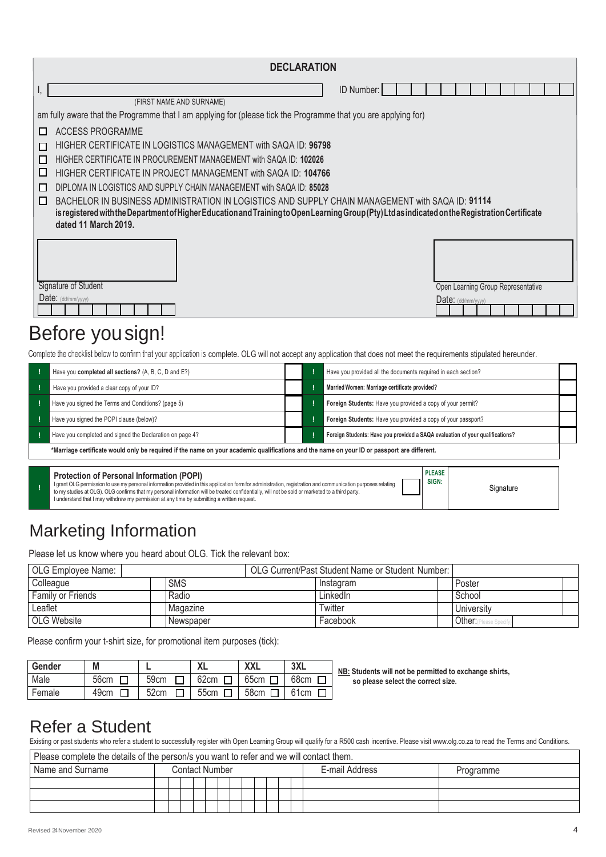|        |                                                                                                                                                                          |  | <b>DECLARATION</b> |            |  |  |  |                                    |  |  |  |  |  |  |  |
|--------|--------------------------------------------------------------------------------------------------------------------------------------------------------------------------|--|--------------------|------------|--|--|--|------------------------------------|--|--|--|--|--|--|--|
| Ι,     |                                                                                                                                                                          |  |                    | ID Number: |  |  |  |                                    |  |  |  |  |  |  |  |
|        | (FIRST NAME AND SURNAME)                                                                                                                                                 |  |                    |            |  |  |  |                                    |  |  |  |  |  |  |  |
|        | am fully aware that the Programme that I am applying for (please tick the Programme that you are applying for)                                                           |  |                    |            |  |  |  |                                    |  |  |  |  |  |  |  |
| $\Box$ | ACCESS PROGRAMME                                                                                                                                                         |  |                    |            |  |  |  |                                    |  |  |  |  |  |  |  |
| П      | HIGHER CERTIFICATE IN LOGISTICS MANAGEMENT with SAQA ID: 96798                                                                                                           |  |                    |            |  |  |  |                                    |  |  |  |  |  |  |  |
| П      | HIGHER CERTIFICATE IN PROCUREMENT MANAGEMENT with SAQA ID: 102026                                                                                                        |  |                    |            |  |  |  |                                    |  |  |  |  |  |  |  |
| □      | HIGHER CERTIFICATE IN PROJECT MANAGEMENT with SAQA ID: 104766                                                                                                            |  |                    |            |  |  |  |                                    |  |  |  |  |  |  |  |
| П      | DIPLOMA IN LOGISTICS AND SUPPLY CHAIN MANAGEMENT with SAQA ID: 85028                                                                                                     |  |                    |            |  |  |  |                                    |  |  |  |  |  |  |  |
| П      | BACHELOR IN BUSINESS ADMINISTRATION IN LOGISTICS AND SUPPLY CHAIN MANAGEMENT with SAQA ID: 91114                                                                         |  |                    |            |  |  |  |                                    |  |  |  |  |  |  |  |
|        | is registered with the Department of Higher Education and Training to Open Learning Group (Pty) Ltd as indicated on the Registration Certificate                         |  |                    |            |  |  |  |                                    |  |  |  |  |  |  |  |
|        | dated 11 March 2019.                                                                                                                                                     |  |                    |            |  |  |  |                                    |  |  |  |  |  |  |  |
|        |                                                                                                                                                                          |  |                    |            |  |  |  |                                    |  |  |  |  |  |  |  |
|        |                                                                                                                                                                          |  |                    |            |  |  |  |                                    |  |  |  |  |  |  |  |
|        |                                                                                                                                                                          |  |                    |            |  |  |  |                                    |  |  |  |  |  |  |  |
|        | Signature of Student                                                                                                                                                     |  |                    |            |  |  |  | Open Learning Group Representative |  |  |  |  |  |  |  |
|        | Date: (dd/mm/yyyy)                                                                                                                                                       |  |                    |            |  |  |  | $Date:$ (dd/mm/yyyy)               |  |  |  |  |  |  |  |
|        |                                                                                                                                                                          |  |                    |            |  |  |  |                                    |  |  |  |  |  |  |  |
|        | Before you sign!                                                                                                                                                         |  |                    |            |  |  |  |                                    |  |  |  |  |  |  |  |
|        | Complete the checklist below to confirm that your application is complete. OLG will not accept any application that does not meet the requirements stipulated hereunder. |  |                    |            |  |  |  |                                    |  |  |  |  |  |  |  |

|                                                                                                                                             | Have you completed all sections? (A, B, C, D and E?)     |  |  | Have you provided all the documents required in each section?                 |  |  |  |  |  |
|---------------------------------------------------------------------------------------------------------------------------------------------|----------------------------------------------------------|--|--|-------------------------------------------------------------------------------|--|--|--|--|--|
|                                                                                                                                             | Have you provided a clear copy of your ID?               |  |  | Married Women: Marriage certificate provided?                                 |  |  |  |  |  |
|                                                                                                                                             | Have you signed the Terms and Conditions? (page 5)       |  |  | Foreign Students: Have you provided a copy of your permit?                    |  |  |  |  |  |
|                                                                                                                                             | Have you signed the POPI clause (below)?                 |  |  | Foreign Students: Have you provided a copy of your passport?                  |  |  |  |  |  |
|                                                                                                                                             | Have you completed and signed the Declaration on page 4? |  |  | Foreign Students: Have you provided a SAQA evaluation of your qualifications? |  |  |  |  |  |
| *Marriage certificate would only be required if the name on your academic qualifications and the name on your ID or passport are different. |                                                          |  |  |                                                                               |  |  |  |  |  |
|                                                                                                                                             |                                                          |  |  |                                                                               |  |  |  |  |  |

|  | <b>Protection of Personal Information (POPI)</b><br>I grant OLG permission to use my personal information provided in this application form for administration, registration and communication purposes relating<br>to my studies at OLG). OLG confirms that my personal information will be treated confidentially, will not be sold or marketed to a third party.<br>I understand that I may withdraw my permission at any time by submitting a written request. | <b>PLEASE</b><br>SIGN: | Signature |
|--|--------------------------------------------------------------------------------------------------------------------------------------------------------------------------------------------------------------------------------------------------------------------------------------------------------------------------------------------------------------------------------------------------------------------------------------------------------------------|------------------------|-----------|
|--|--------------------------------------------------------------------------------------------------------------------------------------------------------------------------------------------------------------------------------------------------------------------------------------------------------------------------------------------------------------------------------------------------------------------------------------------------------------------|------------------------|-----------|

# Marketing Information

Please let us know where you heard about OLG. Tick the relevant box:

| OLG Employee Name: |            | OLG Current/Past Student Name or Student Number: |  |            |  |
|--------------------|------------|--------------------------------------------------|--|------------|--|
| Colleague          | <b>SMS</b> | Instagram                                        |  | Poster     |  |
| Family or Friends  | Radio      | LinkedIn                                         |  | School     |  |
| Leaflet            | Magazine   | Twitter                                          |  | University |  |
| OLG Website        | Newspaper  | Facebook                                         |  | Other:⊪    |  |

Please confirm your t-shirt size, for promotional item purposes (tick):

| Gender | M    |      |             | XXL         | 3XL         |
|--------|------|------|-------------|-------------|-------------|
| Male   | 56cm | 59cm | 62cm $\Box$ | 65cm $\Box$ | 68cm $\Box$ |
| Female | 49cm | 52cm | 55cm $\Box$ | 58cm $\Box$ | 61cm $\Box$ |

**NB: Students will not be permitted to exchange shirts, so please select the correct size.**

# Refer a Student

Existing or past students who refer a student to successfully register with Open Learning Group will qualify for a R500 cash incentive. Please visi[t www.olg.co.za to](http://www.olg.co.za/) read the Terms and Conditions.

| Please complete the details of the person/s you want to refer and we will contact them. |                |  |  |  |  |  |  |  |  |  |  |                |           |
|-----------------------------------------------------------------------------------------|----------------|--|--|--|--|--|--|--|--|--|--|----------------|-----------|
| Name and Surname                                                                        | Contact Number |  |  |  |  |  |  |  |  |  |  | E-mail Address | Programme |
|                                                                                         |                |  |  |  |  |  |  |  |  |  |  |                |           |
|                                                                                         |                |  |  |  |  |  |  |  |  |  |  |                |           |
|                                                                                         |                |  |  |  |  |  |  |  |  |  |  |                |           |